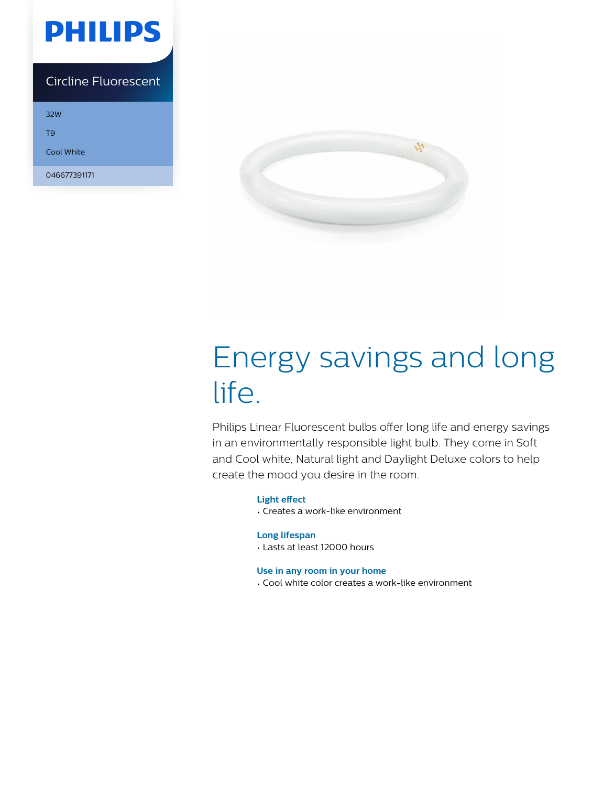

## Circline Fluorescent

32W

T9

Cool White

046677391171



# Energy savings and long life.

Philips Linear Fluorescent bulbs offer long life and energy savings in an environmentally responsible light bulb. They come in Soft and Cool white, Natural light and Daylight Deluxe colors to help create the mood you desire in the room.

## **Light effect**

• Creates a work-like environment

## **Long lifespan**

• Lasts at least 12000 hours

## **Use in any room in your home**

• Cool white color creates a work-like environment